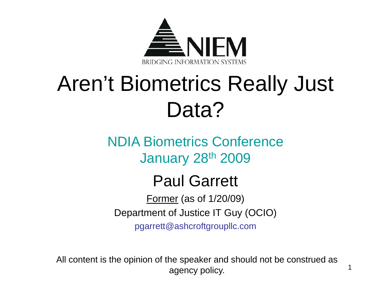

### Aren't Biometrics Really Just Data?

NDIA Biometrics ConferenceJanuary 28th 2009

### Paul Garrett

Former (as of 1/20/09) Department of Justice IT Guy (OCIO)

pgarrett@ashcroftgroupllc.com

All content is the opinion of the speaker and should not be construed as agency policy.

1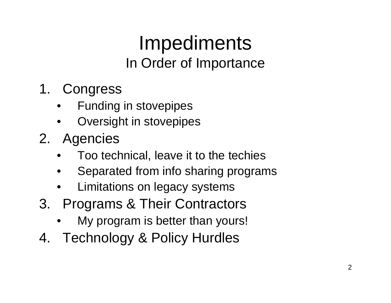### Impediments In Order of Importance

- 1. Congress
	- •Funding in stovepipes
	- $\bullet$ Oversight in stovepipes
- 2. Agencies
	- •Too technical, leave it to the techies
	- •Separated from info sharing programs
	- •Limitations on legacy systems
- 3. Programs & Their Contractors
	- •My program is better than yours!
- 4. Technology & Policy Hurdles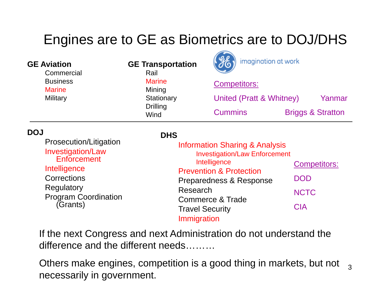#### Engines are to GE as Biometrics are to DOJ/DHS

| <b>GE Aviation</b><br>Commercial<br><b>Business</b><br><b>Marine</b><br>Military                                                                                        | <b>GE Transportation</b><br>Rail<br><b>Marine</b><br>Mining<br>Stationary<br><b>Drilling</b><br>Wind | imagination at work<br>$\bullet$<br><b>Competitors:</b><br>United (Pratt & Whitney)<br><b>Cummins</b>                                                                                  | Yanmar<br><b>Briggs &amp; Stratton</b>                         |
|-------------------------------------------------------------------------------------------------------------------------------------------------------------------------|------------------------------------------------------------------------------------------------------|----------------------------------------------------------------------------------------------------------------------------------------------------------------------------------------|----------------------------------------------------------------|
| <b>DOJ</b><br>Prosecution/Litigation<br><b>Investigation/Law</b><br>Enforcement<br>Intelligence<br>Corrections<br>Regulatory<br><b>Program Coordination</b><br>(Grants) | <b>DHS</b><br>Research<br><b>Travel Security</b><br>Immigration                                      | <b>Information Sharing &amp; Analysis</b><br><b>Investigation/Law Enforcement</b><br>Intelligence<br><b>Prevention &amp; Protection</b><br>Preparedness & Response<br>Commerce & Trade | <b>Competitors:</b><br><b>DOD</b><br><b>NCTC</b><br><b>CIA</b> |

If the next Congress and next Administration do not understand the difference and the different needs………

Others make engines, competition is a good thing in markets, but not  $\;\;_{3}$ necessarily in government.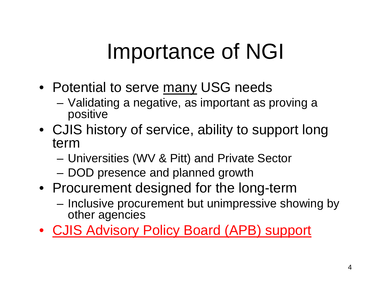### Importance of NGI

- Potential to serve many USG needs
	- Validating a negative, as important as proving a positive
- CJIS history of service, ability to support long term
	- Universities (WV & Pitt) and Private Sector
	- DOD presence and planned growth
- Procurement designed for the long-term
	- Inclusive procurement but unimpressive showing by other agencies
- CJIS Advisory Policy Board (APB) support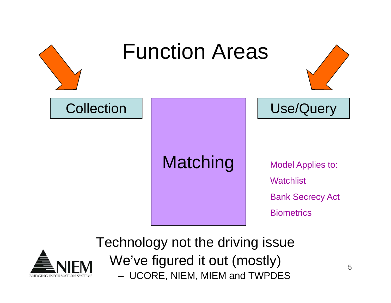



Technology not the driving issue We've figured it out (mostly) – UCORE, NIEM, MIEM and TWPDES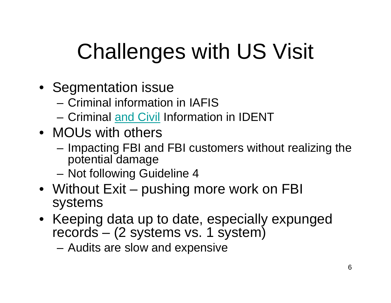## Challenges with US Visit

- Se gmentation issue
	- Criminal information in IAFIS
	- Criminal and Civil Information in IDENT
- MOUs with others
	- – Impacting FBI and FBI customers without realizing the potential damage
	- Not following Guideline 4
- Without Exit pushing more work on FBI<br>svstems ystems
- Keeping data up to date, especially expunged records – (2 systems vs. 1 system)
	- Audits are slow and expensive – Auullo are Siuw an